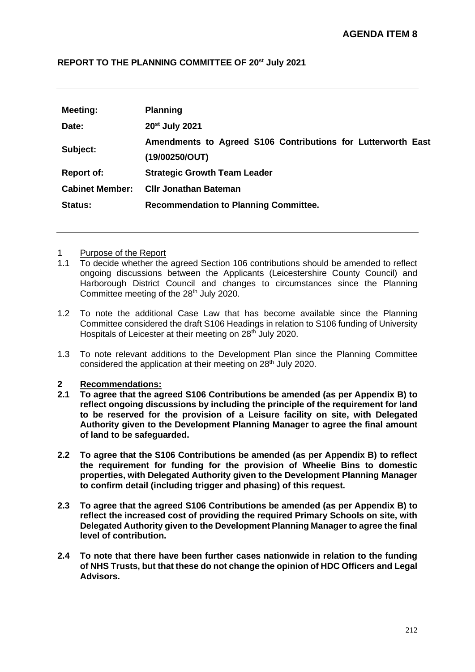#### **REPORT TO THE PLANNING COMMITTEE OF 20st July 2021**

| Meeting:               | <b>Planning</b>                                                                |  |  |
|------------------------|--------------------------------------------------------------------------------|--|--|
| Date:                  | 20 <sup>st</sup> July 2021                                                     |  |  |
| Subject:               | Amendments to Agreed S106 Contributions for Lutterworth East<br>(19/00250/OUT) |  |  |
| <b>Report of:</b>      | <b>Strategic Growth Team Leader</b>                                            |  |  |
| <b>Cabinet Member:</b> | <b>CIIr Jonathan Bateman</b>                                                   |  |  |
| <b>Status:</b>         | <b>Recommendation to Planning Committee.</b>                                   |  |  |

#### 1 Purpose of the Report

- 1.1 To decide whether the agreed Section 106 contributions should be amended to reflect ongoing discussions between the Applicants (Leicestershire County Council) and Harborough District Council and changes to circumstances since the Planning Committee meeting of the 28<sup>th</sup> July 2020.
- 1.2 To note the additional Case Law that has become available since the Planning Committee considered the draft S106 Headings in relation to S106 funding of University Hospitals of Leicester at their meeting on 28<sup>th</sup> July 2020.
- 1.3 To note relevant additions to the Development Plan since the Planning Committee considered the application at their meeting on 28<sup>th</sup> July 2020.

# **2 Recommendations:**

- **2.1 To agree that the agreed S106 Contributions be amended (as per Appendix B) to reflect ongoing discussions by including the principle of the requirement for land to be reserved for the provision of a Leisure facility on site, with Delegated Authority given to the Development Planning Manager to agree the final amount of land to be safeguarded.**
- **2.2 To agree that the S106 Contributions be amended (as per Appendix B) to reflect the requirement for funding for the provision of Wheelie Bins to domestic properties, with Delegated Authority given to the Development Planning Manager to confirm detail (including trigger and phasing) of this request.**
- **2.3 To agree that the agreed S106 Contributions be amended (as per Appendix B) to reflect the increased cost of providing the required Primary Schools on site, with Delegated Authority given to the Development Planning Manager to agree the final level of contribution.**
- **2.4 To note that there have been further cases nationwide in relation to the funding of NHS Trusts, but that these do not change the opinion of HDC Officers and Legal Advisors.**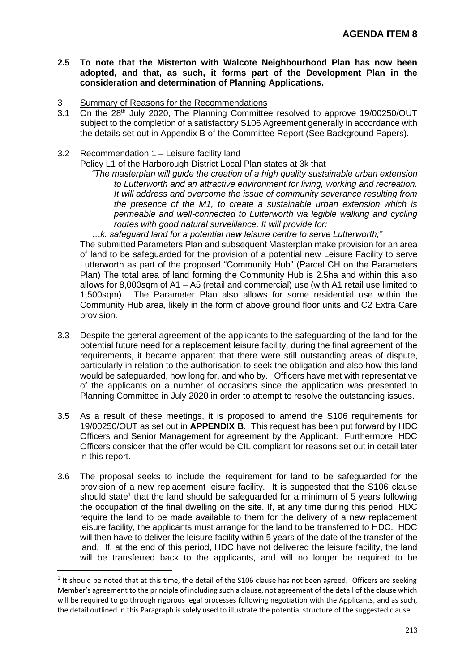- **2.5 To note that the Misterton with Walcote Neighbourhood Plan has now been adopted, and that, as such, it forms part of the Development Plan in the consideration and determination of Planning Applications.**
- 3 Summary of Reasons for the Recommendations
- 3.1 On the 28th July 2020, The Planning Committee resolved to approve 19/00250/OUT subject to the completion of a satisfactory S106 Agreement generally in accordance with the details set out in Appendix B of the Committee Report (See Background Papers).
- 3.2 Recommendation 1 Leisure facility land
	- Policy L1 of the Harborough District Local Plan states at 3k that

*"The masterplan will guide the creation of a high quality sustainable urban extension to Lutterworth and an attractive environment for living, working and recreation. It will address and overcome the issue of community severance resulting from the presence of the M1, to create a sustainable urban extension which is permeable and well-connected to Lutterworth via legible walking and cycling routes with good natural surveillance. It will provide for:*

*…k. safeguard land for a potential new leisure centre to serve Lutterworth;"* The submitted Parameters Plan and subsequent Masterplan make provision for an area of land to be safeguarded for the provision of a potential new Leisure Facility to serve Lutterworth as part of the proposed "Community Hub" (Parcel CH on the Parameters Plan) The total area of land forming the Community Hub is 2.5ha and within this also allows for 8,000sqm of A1 – A5 (retail and commercial) use (with A1 retail use limited to 1,500sqm). The Parameter Plan also allows for some residential use within the Community Hub area, likely in the form of above ground floor units and C2 Extra Care provision.

- 3.3 Despite the general agreement of the applicants to the safeguarding of the land for the potential future need for a replacement leisure facility, during the final agreement of the requirements, it became apparent that there were still outstanding areas of dispute, particularly in relation to the authorisation to seek the obligation and also how this land would be safeguarded, how long for, and who by. Officers have met with representative of the applicants on a number of occasions since the application was presented to Planning Committee in July 2020 in order to attempt to resolve the outstanding issues.
- 3.5 As a result of these meetings, it is proposed to amend the S106 requirements for 19/00250/OUT as set out in **APPENDIX B**. This request has been put forward by HDC Officers and Senior Management for agreement by the Applicant. Furthermore, HDC Officers consider that the offer would be CIL compliant for reasons set out in detail later in this report.
- 3.6 The proposal seeks to include the requirement for land to be safeguarded for the provision of a new replacement leisure facility. It is suggested that the S106 clause should state<sup>1</sup> that the land should be safeguarded for a minimum of 5 years following the occupation of the final dwelling on the site. If, at any time during this period, HDC require the land to be made available to them for the delivery of a new replacement leisure facility, the applicants must arrange for the land to be transferred to HDC. HDC will then have to deliver the leisure facility within 5 years of the date of the transfer of the land. If, at the end of this period, HDC have not delivered the leisure facility, the land will be transferred back to the applicants, and will no longer be required to be

 $<sup>1</sup>$  It should be noted that at this time, the detail of the S106 clause has not been agreed. Officers are seeking</sup> Member's agreement to the principle of including such a clause, not agreement of the detail of the clause which will be required to go through rigorous legal processes following negotiation with the Applicants, and as such, the detail outlined in this Paragraph is solely used to illustrate the potential structure of the suggested clause.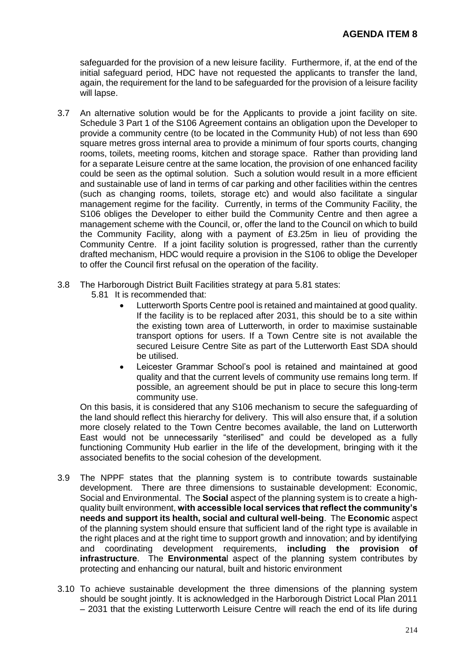safeguarded for the provision of a new leisure facility. Furthermore, if, at the end of the initial safeguard period, HDC have not requested the applicants to transfer the land, again, the requirement for the land to be safeguarded for the provision of a leisure facility will lapse.

- 3.7 An alternative solution would be for the Applicants to provide a joint facility on site. Schedule 3 Part 1 of the S106 Agreement contains an obligation upon the Developer to provide a community centre (to be located in the Community Hub) of not less than 690 square metres gross internal area to provide a minimum of four sports courts, changing rooms, toilets, meeting rooms, kitchen and storage space. Rather than providing land for a separate Leisure centre at the same location, the provision of one enhanced facility could be seen as the optimal solution. Such a solution would result in a more efficient and sustainable use of land in terms of car parking and other facilities within the centres (such as changing rooms, toilets, storage etc) and would also facilitate a singular management regime for the facility. Currently, in terms of the Community Facility, the S106 obliges the Developer to either build the Community Centre and then agree a management scheme with the Council, or, offer the land to the Council on which to build the Community Facility, along with a payment of £3.25m in lieu of providing the Community Centre. If a joint facility solution is progressed, rather than the currently drafted mechanism, HDC would require a provision in the S106 to oblige the Developer to offer the Council first refusal on the operation of the facility.
- 3.8 The Harborough District Built Facilities strategy at para 5.81 states:
	- 5.81 It is recommended that:
		- Lutterworth Sports Centre pool is retained and maintained at good quality. If the facility is to be replaced after 2031, this should be to a site within the existing town area of Lutterworth, in order to maximise sustainable transport options for users. If a Town Centre site is not available the secured Leisure Centre Site as part of the Lutterworth East SDA should be utilised.
		- Leicester Grammar School's pool is retained and maintained at good quality and that the current levels of community use remains long term. If possible, an agreement should be put in place to secure this long-term community use.

On this basis, it is considered that any S106 mechanism to secure the safeguarding of the land should reflect this hierarchy for delivery. This will also ensure that, if a solution more closely related to the Town Centre becomes available, the land on Lutterworth East would not be unnecessarily "sterilised" and could be developed as a fully functioning Community Hub earlier in the life of the development, bringing with it the associated benefits to the social cohesion of the development.

- 3.9 The NPPF states that the planning system is to contribute towards sustainable development. There are three dimensions to sustainable development: Economic, Social and Environmental. The **Social** aspect of the planning system is to create a highquality built environment, **with accessible local services that reflect the community's needs and support its health, social and cultural well-being**. The **Economic** aspect of the planning system should ensure that sufficient land of the right type is available in the right places and at the right time to support growth and innovation; and by identifying and coordinating development requirements, **including the provision of infrastructure**. The **Environmenta**l aspect of the planning system contributes by protecting and enhancing our natural, built and historic environment
- 3.10 To achieve sustainable development the three dimensions of the planning system should be sought jointly. It is acknowledged in the Harborough District Local Plan 2011 – 2031 that the existing Lutterworth Leisure Centre will reach the end of its life during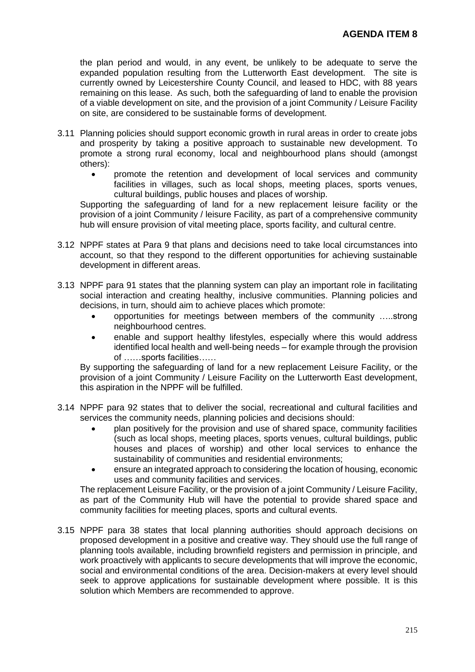the plan period and would, in any event, be unlikely to be adequate to serve the expanded population resulting from the Lutterworth East development. The site is currently owned by Leicestershire County Council, and leased to HDC, with 88 years remaining on this lease. As such, both the safeguarding of land to enable the provision of a viable development on site, and the provision of a joint Community / Leisure Facility on site, are considered to be sustainable forms of development.

- 3.11 Planning policies should support economic growth in rural areas in order to create jobs and prosperity by taking a positive approach to sustainable new development. To promote a strong rural economy, local and neighbourhood plans should (amongst others):
	- promote the retention and development of local services and community facilities in villages, such as local shops, meeting places, sports venues, cultural buildings, public houses and places of worship.

Supporting the safeguarding of land for a new replacement leisure facility or the provision of a joint Community / leisure Facility, as part of a comprehensive community hub will ensure provision of vital meeting place, sports facility, and cultural centre.

- 3.12 NPPF states at Para 9 that plans and decisions need to take local circumstances into account, so that they respond to the different opportunities for achieving sustainable development in different areas.
- 3.13 NPPF para 91 states that the planning system can play an important role in facilitating social interaction and creating healthy, inclusive communities. Planning policies and decisions, in turn, should aim to achieve places which promote:
	- opportunities for meetings between members of the community …..strong neighbourhood centres.
	- enable and support healthy lifestyles, especially where this would address identified local health and well-being needs – for example through the provision of ……sports facilities……

By supporting the safeguarding of land for a new replacement Leisure Facility, or the provision of a joint Community / Leisure Facility on the Lutterworth East development, this aspiration in the NPPF will be fulfilled.

- 3.14 NPPF para 92 states that to deliver the social, recreational and cultural facilities and services the community needs, planning policies and decisions should:
	- plan positively for the provision and use of shared space, community facilities (such as local shops, meeting places, sports venues, cultural buildings, public houses and places of worship) and other local services to enhance the sustainability of communities and residential environments;
	- ensure an integrated approach to considering the location of housing, economic uses and community facilities and services.

The replacement Leisure Facility, or the provision of a joint Community / Leisure Facility, as part of the Community Hub will have the potential to provide shared space and community facilities for meeting places, sports and cultural events.

3.15 NPPF para 38 states that local planning authorities should approach decisions on proposed development in a positive and creative way. They should use the full range of planning tools available, including brownfield registers and permission in principle, and work proactively with applicants to secure developments that will improve the economic, social and environmental conditions of the area. Decision-makers at every level should seek to approve applications for sustainable development where possible. It is this solution which Members are recommended to approve.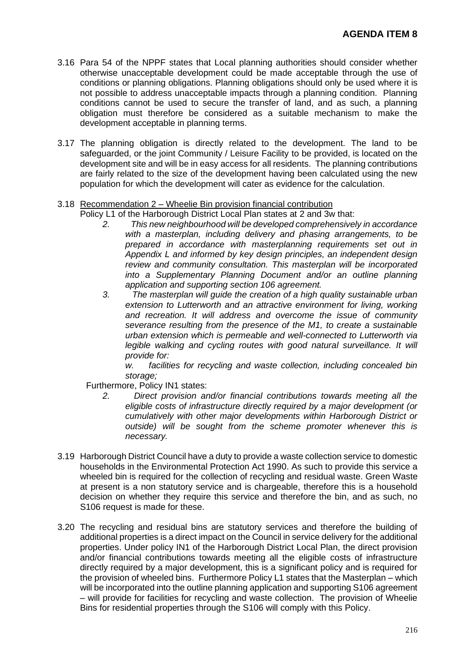- 3.16 Para 54 of the NPPF states that Local planning authorities should consider whether otherwise unacceptable development could be made acceptable through the use of conditions or planning obligations. Planning obligations should only be used where it is not possible to address unacceptable impacts through a planning condition. Planning conditions cannot be used to secure the transfer of land, and as such, a planning obligation must therefore be considered as a suitable mechanism to make the development acceptable in planning terms.
- 3.17 The planning obligation is directly related to the development. The land to be safeguarded, or the joint Community / Leisure Facility to be provided, is located on the development site and will be in easy access for all residents. The planning contributions are fairly related to the size of the development having been calculated using the new population for which the development will cater as evidence for the calculation.

#### 3.18 Recommendation 2 – Wheelie Bin provision financial contribution

Policy L1 of the Harborough District Local Plan states at 2 and 3w that:

- *2. This new neighbourhood will be developed comprehensively in accordance with a masterplan, including delivery and phasing arrangements, to be prepared in accordance with masterplanning requirements set out in Appendix L and informed by key design principles, an independent design review and community consultation. This masterplan will be incorporated into a Supplementary Planning Document and/or an outline planning application and supporting section 106 agreement.*
- *3. The masterplan will guide the creation of a high quality sustainable urban extension to Lutterworth and an attractive environment for living, working and recreation. It will address and overcome the issue of community severance resulting from the presence of the M1, to create a sustainable urban extension which is permeable and well-connected to Lutterworth via*  legible walking and cycling routes with good natural surveillance. It will *provide for:*

*w. facilities for recycling and waste collection, including concealed bin storage;*

Furthermore, Policy IN1 states:

- *2. Direct provision and/or financial contributions towards meeting all the eligible costs of infrastructure directly required by a major development (or cumulatively with other major developments within Harborough District or outside) will be sought from the scheme promoter whenever this is necessary.*
- 3.19 Harborough District Council have a duty to provide a waste collection service to domestic households in the Environmental Protection Act 1990. As such to provide this service a wheeled bin is required for the collection of recycling and residual waste. Green Waste at present is a non statutory service and is chargeable, therefore this is a household decision on whether they require this service and therefore the bin, and as such, no S106 request is made for these.
- 3.20 The recycling and residual bins are statutory services and therefore the building of additional properties is a direct impact on the Council in service delivery for the additional properties. Under policy IN1 of the Harborough District Local Plan, the direct provision and/or financial contributions towards meeting all the eligible costs of infrastructure directly required by a major development, this is a significant policy and is required for the provision of wheeled bins. Furthermore Policy L1 states that the Masterplan – which will be incorporated into the outline planning application and supporting S106 agreement – will provide for facilities for recycling and waste collection. The provision of Wheelie Bins for residential properties through the S106 will comply with this Policy.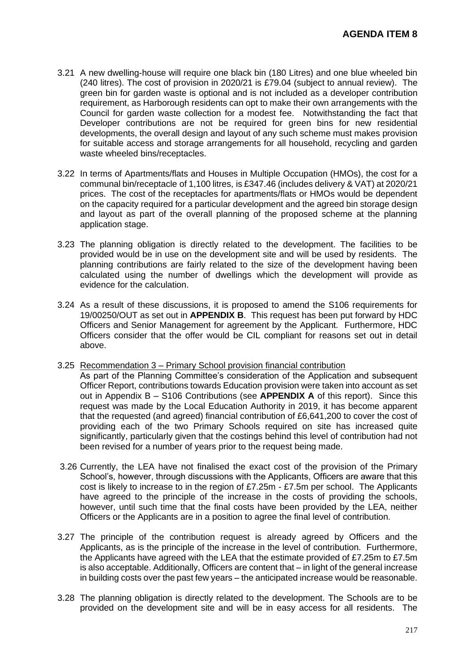- 3.21 A new dwelling-house will require one black bin (180 Litres) and one blue wheeled bin (240 litres). The cost of provision in 2020/21 is £79.04 (subject to annual review). The green bin for garden waste is optional and is not included as a developer contribution requirement, as Harborough residents can opt to make their own arrangements with the Council for garden waste collection for a modest fee. Notwithstanding the fact that Developer contributions are not be required for green bins for new residential developments, the overall design and layout of any such scheme must makes provision for suitable access and storage arrangements for all household, recycling and garden waste wheeled bins/receptacles.
- 3.22 In terms of Apartments/flats and Houses in Multiple Occupation (HMOs), the cost for a communal bin/receptacle of 1,100 litres, is £347.46 (includes delivery & VAT) at 2020/21 prices. The cost of the receptacles for apartments/flats or HMOs would be dependent on the capacity required for a particular development and the agreed bin storage design and layout as part of the overall planning of the proposed scheme at the planning application stage.
- 3.23 The planning obligation is directly related to the development. The facilities to be provided would be in use on the development site and will be used by residents. The planning contributions are fairly related to the size of the development having been calculated using the number of dwellings which the development will provide as evidence for the calculation.
- 3.24 As a result of these discussions, it is proposed to amend the S106 requirements for 19/00250/OUT as set out in **APPENDIX B**. This request has been put forward by HDC Officers and Senior Management for agreement by the Applicant. Furthermore, HDC Officers consider that the offer would be CIL compliant for reasons set out in detail above.
- 3.25 Recommendation 3 Primary School provision financial contribution
	- As part of the Planning Committee's consideration of the Application and subsequent Officer Report, contributions towards Education provision were taken into account as set out in Appendix B – S106 Contributions (see **APPENDIX A** of this report). Since this request was made by the Local Education Authority in 2019, it has become apparent that the requested (and agreed) financial contribution of £6,641,200 to cover the cost of providing each of the two Primary Schools required on site has increased quite significantly, particularly given that the costings behind this level of contribution had not been revised for a number of years prior to the request being made.
- 3.26 Currently, the LEA have not finalised the exact cost of the provision of the Primary School's, however, through discussions with the Applicants, Officers are aware that this cost is likely to increase to in the region of £7.25m - £7.5m per school. The Applicants have agreed to the principle of the increase in the costs of providing the schools, however, until such time that the final costs have been provided by the LEA, neither Officers or the Applicants are in a position to agree the final level of contribution.
- 3.27 The principle of the contribution request is already agreed by Officers and the Applicants, as is the principle of the increase in the level of contribution. Furthermore, the Applicants have agreed with the LEA that the estimate provided of £7.25m to £7.5m is also acceptable. Additionally, Officers are content that – in light of the general increase in building costs over the past few years – the anticipated increase would be reasonable.
- 3.28 The planning obligation is directly related to the development. The Schools are to be provided on the development site and will be in easy access for all residents. The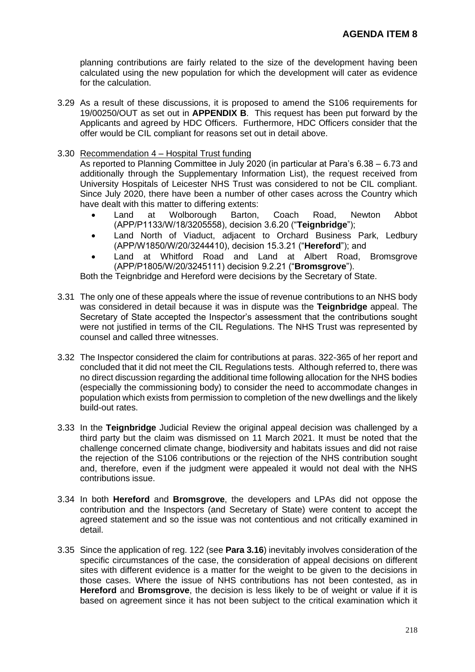planning contributions are fairly related to the size of the development having been calculated using the new population for which the development will cater as evidence for the calculation.

- 3.29 As a result of these discussions, it is proposed to amend the S106 requirements for 19/00250/OUT as set out in **APPENDIX B**. This request has been put forward by the Applicants and agreed by HDC Officers. Furthermore, HDC Officers consider that the offer would be CIL compliant for reasons set out in detail above.
- 3.30 Recommendation 4 Hospital Trust funding

As reported to Planning Committee in July 2020 (in particular at Para's 6.38 – 6.73 and additionally through the Supplementary Information List), the request received from University Hospitals of Leicester NHS Trust was considered to not be CIL compliant. Since July 2020, there have been a number of other cases across the Country which have dealt with this matter to differing extents:

- Land at Wolborough Barton, Coach Road, Newton Abbot (APP/P1133/W/18/3205558), decision 3.6.20 ("**Teignbridge**");
- Land North of Viaduct, adjacent to Orchard Business Park, Ledbury (APP/W1850/W/20/3244410), decision 15.3.21 ("**Hereford**"); and
- Land at Whitford Road and Land at Albert Road, Bromsgrove (APP/P1805/W/20/3245111) decision 9.2.21 ("**Bromsgrove**").

Both the Teignbridge and Hereford were decisions by the Secretary of State.

- 3.31 The only one of these appeals where the issue of revenue contributions to an NHS body was considered in detail because it was in dispute was the **Teignbridge** appeal. The Secretary of State accepted the Inspector's assessment that the contributions sought were not justified in terms of the CIL Regulations. The NHS Trust was represented by counsel and called three witnesses.
- 3.32 The Inspector considered the claim for contributions at paras. 322-365 of her report and concluded that it did not meet the CIL Regulations tests. Although referred to, there was no direct discussion regarding the additional time following allocation for the NHS bodies (especially the commissioning body) to consider the need to accommodate changes in population which exists from permission to completion of the new dwellings and the likely build-out rates.
- 3.33 In the **Teignbridge** Judicial Review the original appeal decision was challenged by a third party but the claim was dismissed on 11 March 2021. It must be noted that the challenge concerned climate change, biodiversity and habitats issues and did not raise the rejection of the S106 contributions or the rejection of the NHS contribution sought and, therefore, even if the judgment were appealed it would not deal with the NHS contributions issue.
- 3.34 In both **Hereford** and **Bromsgrove**, the developers and LPAs did not oppose the contribution and the Inspectors (and Secretary of State) were content to accept the agreed statement and so the issue was not contentious and not critically examined in detail.
- 3.35 Since the application of reg. 122 (see **Para 3.16**) inevitably involves consideration of the specific circumstances of the case, the consideration of appeal decisions on different sites with different evidence is a matter for the weight to be given to the decisions in those cases. Where the issue of NHS contributions has not been contested, as in **Hereford** and **Bromsgrove**, the decision is less likely to be of weight or value if it is based on agreement since it has not been subject to the critical examination which it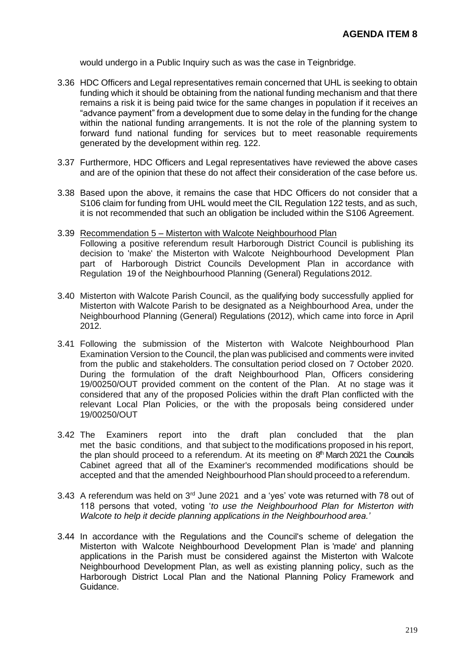would undergo in a Public Inquiry such as was the case in Teignbridge.

- 3.36 HDC Officers and Legal representatives remain concerned that UHL is seeking to obtain funding which it should be obtaining from the national funding mechanism and that there remains a risk it is being paid twice for the same changes in population if it receives an "advance payment" from a development due to some delay in the funding for the change within the national funding arrangements. It is not the role of the planning system to forward fund national funding for services but to meet reasonable requirements generated by the development within reg. 122.
- 3.37 Furthermore, HDC Officers and Legal representatives have reviewed the above cases and are of the opinion that these do not affect their consideration of the case before us.
- 3.38 Based upon the above, it remains the case that HDC Officers do not consider that a S106 claim for funding from UHL would meet the CIL Regulation 122 tests, and as such, it is not recommended that such an obligation be included within the S106 Agreement.
- 3.39 Recommendation 5 Misterton with Walcote Neighbourhood Plan Following a positive referendum result Harborough District Council is publishing its decision to 'make' the Misterton with Walcote Neighbourhood Development Plan part of Harborough District Councils Development Plan in accordance with Regulation 19 of the Neighbourhood Planning (General) Regulations2012.
- 3.40 Misterton with Walcote Parish Council, as the qualifying body successfully applied for Misterton with Walcote Parish to be designated as a Neighbourhood Area, under the Neighbourhood Planning (General) Regulations (2012), which came into force in April 2012.
- 3.41 Following the submission of the Misterton with Walcote Neighbourhood Plan Examination Version to the Council, the plan was publicised and comments were invited from the public and stakeholders. The consultation period closed on 7 October 2020. During the formulation of the draft Neighbourhood Plan, Officers considering 19/00250/OUT provided comment on the content of the Plan. At no stage was it considered that any of the proposed Policies within the draft Plan conflicted with the relevant Local Plan Policies, or the with the proposals being considered under 19/00250/OUT
- 3.42 The Examiners report into the draft plan concluded that the plan met the basic conditions, and that subject to the modifications proposed in his report, the plan should proceed to a referendum. At its meeting on  $8<sup>th</sup>$  March 2021 the Councils Cabinet agreed that all of the Examiner's recommended modifications should be accepted and that the amended Neighbourhood Plan should proceed to a referendum.
- 3.43 A referendum was held on 3rd June 2021 and a 'yes' vote was returned with 78 out of 118 persons that voted, voting '*to use the Neighbourhood Plan for Misterton with Walcote to help it decide planning applications in the Neighbourhood area.'*
- 3.44 In accordance with the Regulations and the Council's scheme of delegation the Misterton with Walcote Neighbourhood Development Plan is 'made' and planning applications in the Parish must be considered against the Misterton with Walcote Neighbourhood Development Plan, as well as existing planning policy, such as the Harborough District Local Plan and the National Planning Policy Framework and Guidance.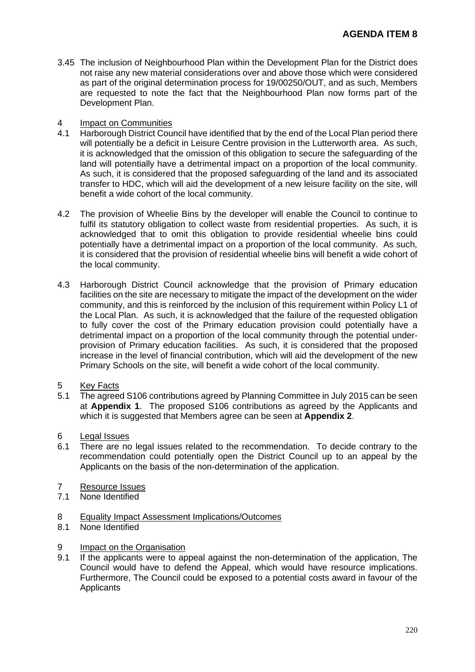3.45 The inclusion of Neighbourhood Plan within the Development Plan for the District does not raise any new material considerations over and above those which were considered as part of the original determination process for 19/00250/OUT, and as such, Members are requested to note the fact that the Neighbourhood Plan now forms part of the Development Plan.

#### 4 Impact on Communities

- 4.1 Harborough District Council have identified that by the end of the Local Plan period there will potentially be a deficit in Leisure Centre provision in the Lutterworth area. As such, it is acknowledged that the omission of this obligation to secure the safeguarding of the land will potentially have a detrimental impact on a proportion of the local community. As such, it is considered that the proposed safeguarding of the land and its associated transfer to HDC, which will aid the development of a new leisure facility on the site, will benefit a wide cohort of the local community.
- 4.2 The provision of Wheelie Bins by the developer will enable the Council to continue to fulfil its statutory obligation to collect waste from residential properties. As such, it is acknowledged that to omit this obligation to provide residential wheelie bins could potentially have a detrimental impact on a proportion of the local community. As such, it is considered that the provision of residential wheelie bins will benefit a wide cohort of the local community.
- 4.3 Harborough District Council acknowledge that the provision of Primary education facilities on the site are necessary to mitigate the impact of the development on the wider community, and this is reinforced by the inclusion of this requirement within Policy L1 of the Local Plan. As such, it is acknowledged that the failure of the requested obligation to fully cover the cost of the Primary education provision could potentially have a detrimental impact on a proportion of the local community through the potential underprovision of Primary education facilities. As such, it is considered that the proposed increase in the level of financial contribution, which will aid the development of the new Primary Schools on the site, will benefit a wide cohort of the local community.
- 5 Key Facts
- 5.1 The agreed S106 contributions agreed by Planning Committee in July 2015 can be seen at **Appendix 1**. The proposed S106 contributions as agreed by the Applicants and which it is suggested that Members agree can be seen at **Appendix 2**.
- 6 Legal Issues
- 6.1 There are no legal issues related to the recommendation. To decide contrary to the recommendation could potentially open the District Council up to an appeal by the Applicants on the basis of the non-determination of the application.
- 7 Resource Issues<br>7.1 None Identified
- None Identified
- 8 Equality Impact Assessment Implications/Outcomes
- 8.1 None Identified
- 9 Impact on the Organisation
- 9.1 If the applicants were to appeal against the non-determination of the application, The Council would have to defend the Appeal, which would have resource implications. Furthermore, The Council could be exposed to a potential costs award in favour of the **Applicants**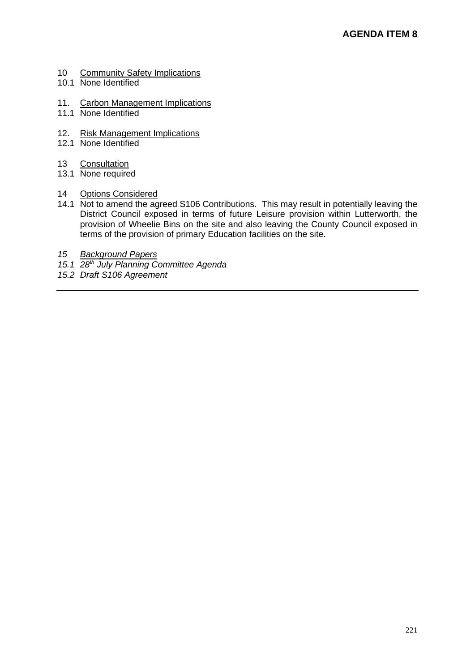- 10 Community Safety Implications
- 10.1 None Identified
- 11. Carbon Management Implications
- 11.1 None Identified
- 12. Risk Management Implications
- 12.1 None Identified
- 13 Consultation
- 13.1 None required
- 14 Options Considered
- 14.1 Not to amend the agreed S106 Contributions. This may result in potentially leaving the District Council exposed in terms of future Leisure provision within Lutterworth, the provision of Wheelie Bins on the site and also leaving the County Council exposed in terms of the provision of primary Education facilities on the site.
- *15 Background Papers*
- *15.1 28th July Planning Committee Agenda*
- *15.2 Draft S106 Agreement*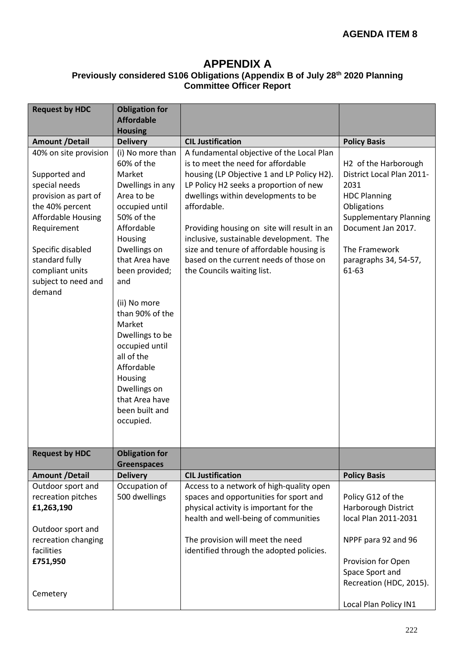### **APPENDIX A**

#### **Previously considered S106 Obligations (Appendix B of July 28th 2020 Planning Committee Officer Report**

| <b>Request by HDC</b>                                                                                                                                                                                                              | <b>Obligation for</b><br><b>Affordable</b>                                                                                                                                                                                                                                                                                                                                               |                                                                                                                                                                                                                                                                                                                                                                                                                                             |                                                                                                                                                                                                                       |
|------------------------------------------------------------------------------------------------------------------------------------------------------------------------------------------------------------------------------------|------------------------------------------------------------------------------------------------------------------------------------------------------------------------------------------------------------------------------------------------------------------------------------------------------------------------------------------------------------------------------------------|---------------------------------------------------------------------------------------------------------------------------------------------------------------------------------------------------------------------------------------------------------------------------------------------------------------------------------------------------------------------------------------------------------------------------------------------|-----------------------------------------------------------------------------------------------------------------------------------------------------------------------------------------------------------------------|
|                                                                                                                                                                                                                                    | <b>Housing</b>                                                                                                                                                                                                                                                                                                                                                                           |                                                                                                                                                                                                                                                                                                                                                                                                                                             |                                                                                                                                                                                                                       |
| <b>Amount /Detail</b>                                                                                                                                                                                                              | <b>Delivery</b>                                                                                                                                                                                                                                                                                                                                                                          | <b>CIL Justification</b>                                                                                                                                                                                                                                                                                                                                                                                                                    | <b>Policy Basis</b>                                                                                                                                                                                                   |
| 40% on site provision<br>Supported and<br>special needs<br>provision as part of<br>the 40% percent<br>Affordable Housing<br>Requirement<br>Specific disabled<br>standard fully<br>compliant units<br>subject to need and<br>demand | (i) No more than<br>60% of the<br>Market<br>Dwellings in any<br>Area to be<br>occupied until<br>50% of the<br>Affordable<br>Housing<br>Dwellings on<br>that Area have<br>been provided;<br>and<br>(ii) No more<br>than 90% of the<br>Market<br>Dwellings to be<br>occupied until<br>all of the<br>Affordable<br>Housing<br>Dwellings on<br>that Area have<br>been built and<br>occupied. | A fundamental objective of the Local Plan<br>is to meet the need for affordable<br>housing (LP Objective 1 and LP Policy H2).<br>LP Policy H2 seeks a proportion of new<br>dwellings within developments to be<br>affordable.<br>Providing housing on site will result in an<br>inclusive, sustainable development. The<br>size and tenure of affordable housing is<br>based on the current needs of those on<br>the Councils waiting list. | H <sub>2</sub> of the Harborough<br>District Local Plan 2011-<br>2031<br><b>HDC Planning</b><br>Obligations<br><b>Supplementary Planning</b><br>Document Jan 2017.<br>The Framework<br>paragraphs 34, 54-57,<br>61-63 |
| <b>Request by HDC</b>                                                                                                                                                                                                              | <b>Obligation for</b>                                                                                                                                                                                                                                                                                                                                                                    |                                                                                                                                                                                                                                                                                                                                                                                                                                             |                                                                                                                                                                                                                       |
|                                                                                                                                                                                                                                    | <b>Greenspaces</b>                                                                                                                                                                                                                                                                                                                                                                       | <b>CIL Justification</b>                                                                                                                                                                                                                                                                                                                                                                                                                    |                                                                                                                                                                                                                       |
| <b>Amount /Detail</b><br>Outdoor sport and                                                                                                                                                                                         | <b>Delivery</b><br>Occupation of                                                                                                                                                                                                                                                                                                                                                         | Access to a network of high-quality open                                                                                                                                                                                                                                                                                                                                                                                                    | <b>Policy Basis</b>                                                                                                                                                                                                   |
| recreation pitches                                                                                                                                                                                                                 | 500 dwellings                                                                                                                                                                                                                                                                                                                                                                            | spaces and opportunities for sport and                                                                                                                                                                                                                                                                                                                                                                                                      | Policy G12 of the                                                                                                                                                                                                     |
| £1,263,190                                                                                                                                                                                                                         |                                                                                                                                                                                                                                                                                                                                                                                          | physical activity is important for the                                                                                                                                                                                                                                                                                                                                                                                                      | Harborough District                                                                                                                                                                                                   |
|                                                                                                                                                                                                                                    |                                                                                                                                                                                                                                                                                                                                                                                          | health and well-being of communities                                                                                                                                                                                                                                                                                                                                                                                                        | local Plan 2011-2031                                                                                                                                                                                                  |
| Outdoor sport and                                                                                                                                                                                                                  |                                                                                                                                                                                                                                                                                                                                                                                          |                                                                                                                                                                                                                                                                                                                                                                                                                                             |                                                                                                                                                                                                                       |
| recreation changing                                                                                                                                                                                                                |                                                                                                                                                                                                                                                                                                                                                                                          | The provision will meet the need                                                                                                                                                                                                                                                                                                                                                                                                            | NPPF para 92 and 96                                                                                                                                                                                                   |
| facilities                                                                                                                                                                                                                         |                                                                                                                                                                                                                                                                                                                                                                                          | identified through the adopted policies.                                                                                                                                                                                                                                                                                                                                                                                                    |                                                                                                                                                                                                                       |
| £751,950                                                                                                                                                                                                                           |                                                                                                                                                                                                                                                                                                                                                                                          |                                                                                                                                                                                                                                                                                                                                                                                                                                             | Provision for Open                                                                                                                                                                                                    |
|                                                                                                                                                                                                                                    |                                                                                                                                                                                                                                                                                                                                                                                          |                                                                                                                                                                                                                                                                                                                                                                                                                                             | Space Sport and                                                                                                                                                                                                       |
|                                                                                                                                                                                                                                    |                                                                                                                                                                                                                                                                                                                                                                                          |                                                                                                                                                                                                                                                                                                                                                                                                                                             | Recreation (HDC, 2015).                                                                                                                                                                                               |
| Cemetery                                                                                                                                                                                                                           |                                                                                                                                                                                                                                                                                                                                                                                          |                                                                                                                                                                                                                                                                                                                                                                                                                                             |                                                                                                                                                                                                                       |
|                                                                                                                                                                                                                                    |                                                                                                                                                                                                                                                                                                                                                                                          |                                                                                                                                                                                                                                                                                                                                                                                                                                             | Local Plan Policy IN1                                                                                                                                                                                                 |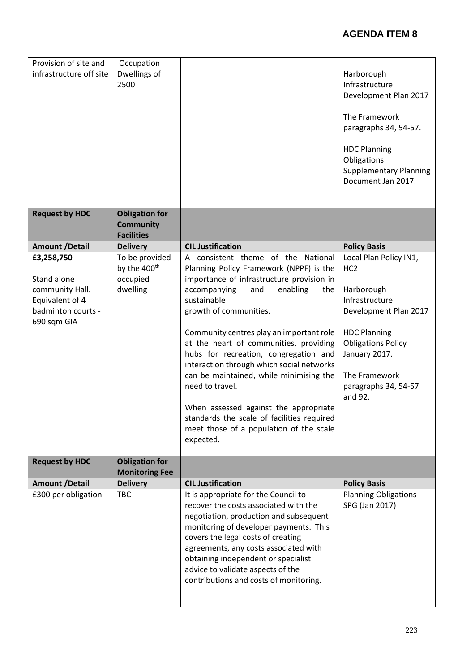| Provision of site and<br>infrastructure off site | Occupation<br>Dwellings of<br>2500                             |                                                                                                                                                                                                                                                                                                                                                                        | Harborough<br>Infrastructure<br>Development Plan 2017<br>The Framework<br>paragraphs 34, 54-57.                       |
|--------------------------------------------------|----------------------------------------------------------------|------------------------------------------------------------------------------------------------------------------------------------------------------------------------------------------------------------------------------------------------------------------------------------------------------------------------------------------------------------------------|-----------------------------------------------------------------------------------------------------------------------|
|                                                  |                                                                |                                                                                                                                                                                                                                                                                                                                                                        | <b>HDC Planning</b><br>Obligations<br><b>Supplementary Planning</b><br>Document Jan 2017.                             |
| <b>Request by HDC</b>                            | <b>Obligation for</b><br><b>Community</b><br><b>Facilities</b> |                                                                                                                                                                                                                                                                                                                                                                        |                                                                                                                       |
|                                                  |                                                                |                                                                                                                                                                                                                                                                                                                                                                        |                                                                                                                       |
| <b>Amount /Detail</b>                            | <b>Delivery</b>                                                | <b>CIL Justification</b>                                                                                                                                                                                                                                                                                                                                               | <b>Policy Basis</b>                                                                                                   |
| £3,258,750                                       | To be provided<br>by the 400 <sup>th</sup>                     | A consistent theme of the National                                                                                                                                                                                                                                                                                                                                     | Local Plan Policy IN1,                                                                                                |
| Stand alone                                      |                                                                | Planning Policy Framework (NPPF) is the                                                                                                                                                                                                                                                                                                                                | HC <sub>2</sub>                                                                                                       |
|                                                  | occupied                                                       | importance of infrastructure provision in                                                                                                                                                                                                                                                                                                                              | Harborough                                                                                                            |
| community Hall.                                  | dwelling                                                       | accompanying<br>enabling<br>and<br>the<br>sustainable                                                                                                                                                                                                                                                                                                                  | Infrastructure                                                                                                        |
| Equivalent of 4                                  |                                                                |                                                                                                                                                                                                                                                                                                                                                                        |                                                                                                                       |
| badminton courts -                               |                                                                | growth of communities.                                                                                                                                                                                                                                                                                                                                                 | Development Plan 2017                                                                                                 |
| 690 sqm GIA                                      |                                                                | Community centres play an important role<br>at the heart of communities, providing<br>hubs for recreation, congregation and<br>interaction through which social networks<br>can be maintained, while minimising the<br>need to travel.<br>When assessed against the appropriate                                                                                        | <b>HDC Planning</b><br><b>Obligations Policy</b><br>January 2017.<br>The Framework<br>paragraphs 34, 54-57<br>and 92. |
|                                                  |                                                                | standards the scale of facilities required                                                                                                                                                                                                                                                                                                                             |                                                                                                                       |
|                                                  |                                                                | meet those of a population of the scale<br>expected.                                                                                                                                                                                                                                                                                                                   |                                                                                                                       |
| <b>Request by HDC</b>                            | <b>Obligation for</b><br><b>Monitoring Fee</b>                 |                                                                                                                                                                                                                                                                                                                                                                        |                                                                                                                       |
| <b>Amount /Detail</b>                            | <b>Delivery</b>                                                | <b>CIL Justification</b>                                                                                                                                                                                                                                                                                                                                               | <b>Policy Basis</b>                                                                                                   |
| £300 per obligation                              | <b>TBC</b>                                                     | It is appropriate for the Council to<br>recover the costs associated with the<br>negotiation, production and subsequent<br>monitoring of developer payments. This<br>covers the legal costs of creating<br>agreements, any costs associated with<br>obtaining independent or specialist<br>advice to validate aspects of the<br>contributions and costs of monitoring. | <b>Planning Obligations</b><br>SPG (Jan 2017)                                                                         |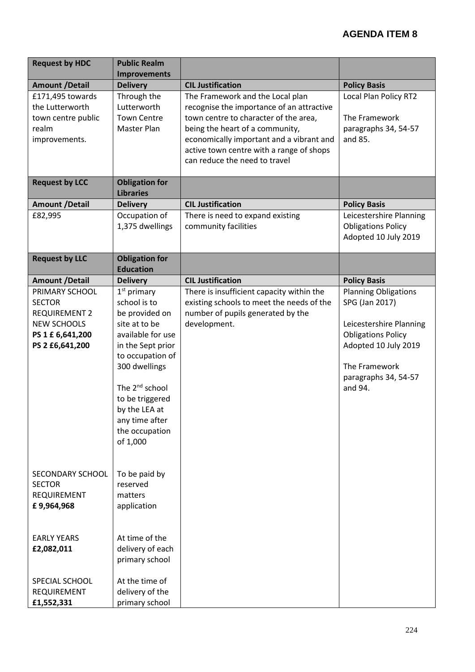| <b>Request by HDC</b> | <b>Public Realm</b>        |                                           |                             |
|-----------------------|----------------------------|-------------------------------------------|-----------------------------|
|                       | <b>Improvements</b>        |                                           |                             |
| <b>Amount /Detail</b> | <b>Delivery</b>            | <b>CIL Justification</b>                  | <b>Policy Basis</b>         |
| £171,495 towards      | Through the                | The Framework and the Local plan          | Local Plan Policy RT2       |
| the Lutterworth       | Lutterworth                | recognise the importance of an attractive |                             |
| town centre public    | <b>Town Centre</b>         | town centre to character of the area,     | The Framework               |
| realm                 | Master Plan                | being the heart of a community,           | paragraphs 34, 54-57        |
| improvements.         |                            | economically important and a vibrant and  | and 85.                     |
|                       |                            | active town centre with a range of shops  |                             |
|                       |                            | can reduce the need to travel             |                             |
| <b>Request by LCC</b> | <b>Obligation for</b>      |                                           |                             |
|                       | <b>Libraries</b>           |                                           |                             |
| <b>Amount /Detail</b> | <b>Delivery</b>            | <b>CIL Justification</b>                  | <b>Policy Basis</b>         |
| £82,995               | Occupation of              | There is need to expand existing          | Leicestershire Planning     |
|                       | 1,375 dwellings            | community facilities                      | <b>Obligations Policy</b>   |
|                       |                            |                                           | Adopted 10 July 2019        |
|                       |                            |                                           |                             |
| <b>Request by LLC</b> | <b>Obligation for</b>      |                                           |                             |
|                       | <b>Education</b>           |                                           |                             |
| <b>Amount /Detail</b> | <b>Delivery</b>            | <b>CIL Justification</b>                  | <b>Policy Basis</b>         |
| PRIMARY SCHOOL        | $1st$ primary              | There is insufficient capacity within the | <b>Planning Obligations</b> |
| <b>SECTOR</b>         | school is to               | existing schools to meet the needs of the | SPG (Jan 2017)              |
| <b>REQUIREMENT 2</b>  | be provided on             | number of pupils generated by the         |                             |
| <b>NEW SCHOOLS</b>    | site at to be              | development.                              | Leicestershire Planning     |
| PS 1 £ 6,641,200      | available for use          |                                           | <b>Obligations Policy</b>   |
| PS 2 £6,641,200       | in the Sept prior          |                                           | Adopted 10 July 2019        |
|                       | to occupation of           |                                           |                             |
|                       | 300 dwellings              |                                           | The Framework               |
|                       |                            |                                           | paragraphs 34, 54-57        |
|                       | The 2 <sup>nd</sup> school |                                           | and 94.                     |
|                       | to be triggered            |                                           |                             |
|                       | by the LEA at              |                                           |                             |
|                       | any time after             |                                           |                             |
|                       | the occupation             |                                           |                             |
|                       | of 1,000                   |                                           |                             |
|                       |                            |                                           |                             |
|                       |                            |                                           |                             |
| SECONDARY SCHOOL      | To be paid by              |                                           |                             |
| <b>SECTOR</b>         | reserved                   |                                           |                             |
| <b>REQUIREMENT</b>    | matters                    |                                           |                             |
| £9,964,968            | application                |                                           |                             |
|                       |                            |                                           |                             |
| <b>EARLY YEARS</b>    | At time of the             |                                           |                             |
| £2,082,011            | delivery of each           |                                           |                             |
|                       | primary school             |                                           |                             |
|                       |                            |                                           |                             |
| SPECIAL SCHOOL        | At the time of             |                                           |                             |
| REQUIREMENT           | delivery of the            |                                           |                             |
| £1,552,331            | primary school             |                                           |                             |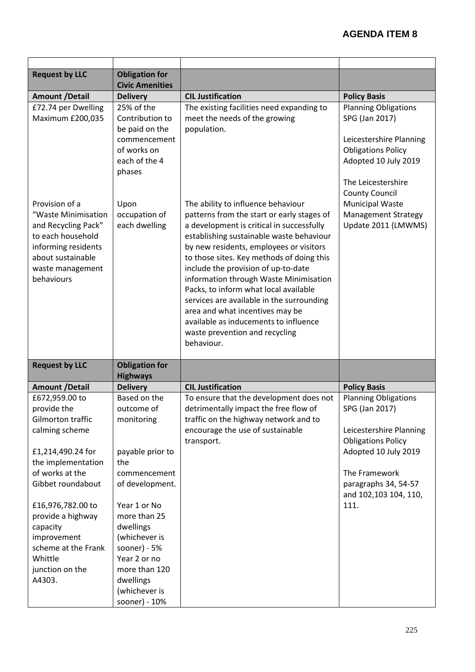| <b>Request by LLC</b>                                                                                                                                                                                                                                                                       | <b>Obligation for</b><br><b>Civic Amenities</b>                                                                                                                                                                                                                        |                                                                                                                                                                                                                                                                                                                                                                                                                                                                                                                                                                      |                                                                                                                                                                                                         |
|---------------------------------------------------------------------------------------------------------------------------------------------------------------------------------------------------------------------------------------------------------------------------------------------|------------------------------------------------------------------------------------------------------------------------------------------------------------------------------------------------------------------------------------------------------------------------|----------------------------------------------------------------------------------------------------------------------------------------------------------------------------------------------------------------------------------------------------------------------------------------------------------------------------------------------------------------------------------------------------------------------------------------------------------------------------------------------------------------------------------------------------------------------|---------------------------------------------------------------------------------------------------------------------------------------------------------------------------------------------------------|
| <b>Amount /Detail</b>                                                                                                                                                                                                                                                                       | <b>Delivery</b>                                                                                                                                                                                                                                                        | <b>CIL Justification</b>                                                                                                                                                                                                                                                                                                                                                                                                                                                                                                                                             | <b>Policy Basis</b>                                                                                                                                                                                     |
| £72.74 per Dwelling<br>Maximum £200,035                                                                                                                                                                                                                                                     | 25% of the<br>Contribution to<br>be paid on the<br>commencement<br>of works on<br>each of the 4<br>phases                                                                                                                                                              | The existing facilities need expanding to<br>meet the needs of the growing<br>population.                                                                                                                                                                                                                                                                                                                                                                                                                                                                            | <b>Planning Obligations</b><br>SPG (Jan 2017)<br>Leicestershire Planning<br><b>Obligations Policy</b><br>Adopted 10 July 2019<br>The Leicestershire<br><b>County Council</b>                            |
| Provision of a<br>"Waste Minimisation<br>and Recycling Pack"<br>to each household<br>informing residents<br>about sustainable<br>waste management<br>behaviours                                                                                                                             | Upon<br>occupation of<br>each dwelling                                                                                                                                                                                                                                 | The ability to influence behaviour<br>patterns from the start or early stages of<br>a development is critical in successfully<br>establishing sustainable waste behaviour<br>by new residents, employees or visitors<br>to those sites. Key methods of doing this<br>include the provision of up-to-date<br>information through Waste Minimisation<br>Packs, to inform what local available<br>services are available in the surrounding<br>area and what incentives may be<br>available as inducements to influence<br>waste prevention and recycling<br>behaviour. | <b>Municipal Waste</b><br><b>Management Strategy</b><br>Update 2011 (LMWMS)                                                                                                                             |
| <b>Request by LLC</b>                                                                                                                                                                                                                                                                       | <b>Obligation for</b><br><b>Highways</b>                                                                                                                                                                                                                               |                                                                                                                                                                                                                                                                                                                                                                                                                                                                                                                                                                      |                                                                                                                                                                                                         |
| <b>Amount /Detail</b>                                                                                                                                                                                                                                                                       | <b>Delivery</b>                                                                                                                                                                                                                                                        | <b>CIL Justification</b>                                                                                                                                                                                                                                                                                                                                                                                                                                                                                                                                             | <b>Policy Basis</b>                                                                                                                                                                                     |
| £672,959.00 to<br>provide the<br>Gilmorton traffic<br>calming scheme<br>£1,214,490.24 for<br>the implementation<br>of works at the<br>Gibbet roundabout<br>£16,976,782.00 to<br>provide a highway<br>capacity<br>improvement<br>scheme at the Frank<br>Whittle<br>junction on the<br>A4303. | Based on the<br>outcome of<br>monitoring<br>payable prior to<br>the<br>commencement<br>of development.<br>Year 1 or No<br>more than 25<br>dwellings<br>(whichever is<br>sooner) - $5%$<br>Year 2 or no<br>more than 120<br>dwellings<br>(whichever is<br>sooner) - 10% | To ensure that the development does not<br>detrimentally impact the free flow of<br>traffic on the highway network and to<br>encourage the use of sustainable<br>transport.                                                                                                                                                                                                                                                                                                                                                                                          | <b>Planning Obligations</b><br>SPG (Jan 2017)<br>Leicestershire Planning<br><b>Obligations Policy</b><br>Adopted 10 July 2019<br>The Framework<br>paragraphs 34, 54-57<br>and 102,103 104, 110,<br>111. |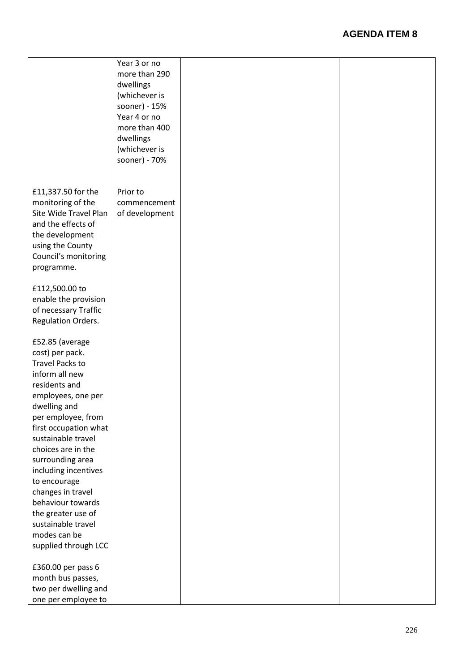| more than 290<br>dwellings<br>(whichever is<br>sooner) - 15%<br>Year 4 or no<br>more than 400<br>dwellings<br>(whichever is<br>sooner) - 70%<br>£11,337.50 for the<br>Prior to<br>monitoring of the<br>commencement<br>Site Wide Travel Plan<br>of development<br>and the effects of<br>the development<br>using the County<br>Council's monitoring<br>programme.<br>£112,500.00 to<br>enable the provision<br>of necessary Traffic<br>Regulation Orders.<br>£52.85 (average<br>cost) per pack.<br><b>Travel Packs to</b><br>inform all new<br>residents and<br>employees, one per<br>dwelling and<br>per employee, from<br>first occupation what<br>sustainable travel<br>choices are in the<br>surrounding area<br>including incentives<br>to encourage<br>changes in travel<br>behaviour towards<br>the greater use of<br>sustainable travel<br>modes can be<br>supplied through LCC<br>£360.00 per pass 6<br>month bus passes,<br>two per dwelling and |                     | Year 3 or no |  |
|------------------------------------------------------------------------------------------------------------------------------------------------------------------------------------------------------------------------------------------------------------------------------------------------------------------------------------------------------------------------------------------------------------------------------------------------------------------------------------------------------------------------------------------------------------------------------------------------------------------------------------------------------------------------------------------------------------------------------------------------------------------------------------------------------------------------------------------------------------------------------------------------------------------------------------------------------------|---------------------|--------------|--|
|                                                                                                                                                                                                                                                                                                                                                                                                                                                                                                                                                                                                                                                                                                                                                                                                                                                                                                                                                            |                     |              |  |
|                                                                                                                                                                                                                                                                                                                                                                                                                                                                                                                                                                                                                                                                                                                                                                                                                                                                                                                                                            |                     |              |  |
|                                                                                                                                                                                                                                                                                                                                                                                                                                                                                                                                                                                                                                                                                                                                                                                                                                                                                                                                                            |                     |              |  |
|                                                                                                                                                                                                                                                                                                                                                                                                                                                                                                                                                                                                                                                                                                                                                                                                                                                                                                                                                            |                     |              |  |
|                                                                                                                                                                                                                                                                                                                                                                                                                                                                                                                                                                                                                                                                                                                                                                                                                                                                                                                                                            |                     |              |  |
|                                                                                                                                                                                                                                                                                                                                                                                                                                                                                                                                                                                                                                                                                                                                                                                                                                                                                                                                                            |                     |              |  |
|                                                                                                                                                                                                                                                                                                                                                                                                                                                                                                                                                                                                                                                                                                                                                                                                                                                                                                                                                            |                     |              |  |
|                                                                                                                                                                                                                                                                                                                                                                                                                                                                                                                                                                                                                                                                                                                                                                                                                                                                                                                                                            |                     |              |  |
|                                                                                                                                                                                                                                                                                                                                                                                                                                                                                                                                                                                                                                                                                                                                                                                                                                                                                                                                                            |                     |              |  |
|                                                                                                                                                                                                                                                                                                                                                                                                                                                                                                                                                                                                                                                                                                                                                                                                                                                                                                                                                            |                     |              |  |
|                                                                                                                                                                                                                                                                                                                                                                                                                                                                                                                                                                                                                                                                                                                                                                                                                                                                                                                                                            |                     |              |  |
|                                                                                                                                                                                                                                                                                                                                                                                                                                                                                                                                                                                                                                                                                                                                                                                                                                                                                                                                                            |                     |              |  |
|                                                                                                                                                                                                                                                                                                                                                                                                                                                                                                                                                                                                                                                                                                                                                                                                                                                                                                                                                            |                     |              |  |
|                                                                                                                                                                                                                                                                                                                                                                                                                                                                                                                                                                                                                                                                                                                                                                                                                                                                                                                                                            |                     |              |  |
|                                                                                                                                                                                                                                                                                                                                                                                                                                                                                                                                                                                                                                                                                                                                                                                                                                                                                                                                                            |                     |              |  |
|                                                                                                                                                                                                                                                                                                                                                                                                                                                                                                                                                                                                                                                                                                                                                                                                                                                                                                                                                            |                     |              |  |
|                                                                                                                                                                                                                                                                                                                                                                                                                                                                                                                                                                                                                                                                                                                                                                                                                                                                                                                                                            |                     |              |  |
|                                                                                                                                                                                                                                                                                                                                                                                                                                                                                                                                                                                                                                                                                                                                                                                                                                                                                                                                                            |                     |              |  |
|                                                                                                                                                                                                                                                                                                                                                                                                                                                                                                                                                                                                                                                                                                                                                                                                                                                                                                                                                            |                     |              |  |
|                                                                                                                                                                                                                                                                                                                                                                                                                                                                                                                                                                                                                                                                                                                                                                                                                                                                                                                                                            |                     |              |  |
|                                                                                                                                                                                                                                                                                                                                                                                                                                                                                                                                                                                                                                                                                                                                                                                                                                                                                                                                                            |                     |              |  |
|                                                                                                                                                                                                                                                                                                                                                                                                                                                                                                                                                                                                                                                                                                                                                                                                                                                                                                                                                            |                     |              |  |
|                                                                                                                                                                                                                                                                                                                                                                                                                                                                                                                                                                                                                                                                                                                                                                                                                                                                                                                                                            |                     |              |  |
|                                                                                                                                                                                                                                                                                                                                                                                                                                                                                                                                                                                                                                                                                                                                                                                                                                                                                                                                                            |                     |              |  |
|                                                                                                                                                                                                                                                                                                                                                                                                                                                                                                                                                                                                                                                                                                                                                                                                                                                                                                                                                            |                     |              |  |
|                                                                                                                                                                                                                                                                                                                                                                                                                                                                                                                                                                                                                                                                                                                                                                                                                                                                                                                                                            |                     |              |  |
|                                                                                                                                                                                                                                                                                                                                                                                                                                                                                                                                                                                                                                                                                                                                                                                                                                                                                                                                                            |                     |              |  |
|                                                                                                                                                                                                                                                                                                                                                                                                                                                                                                                                                                                                                                                                                                                                                                                                                                                                                                                                                            |                     |              |  |
|                                                                                                                                                                                                                                                                                                                                                                                                                                                                                                                                                                                                                                                                                                                                                                                                                                                                                                                                                            |                     |              |  |
|                                                                                                                                                                                                                                                                                                                                                                                                                                                                                                                                                                                                                                                                                                                                                                                                                                                                                                                                                            |                     |              |  |
|                                                                                                                                                                                                                                                                                                                                                                                                                                                                                                                                                                                                                                                                                                                                                                                                                                                                                                                                                            |                     |              |  |
|                                                                                                                                                                                                                                                                                                                                                                                                                                                                                                                                                                                                                                                                                                                                                                                                                                                                                                                                                            |                     |              |  |
|                                                                                                                                                                                                                                                                                                                                                                                                                                                                                                                                                                                                                                                                                                                                                                                                                                                                                                                                                            |                     |              |  |
|                                                                                                                                                                                                                                                                                                                                                                                                                                                                                                                                                                                                                                                                                                                                                                                                                                                                                                                                                            |                     |              |  |
|                                                                                                                                                                                                                                                                                                                                                                                                                                                                                                                                                                                                                                                                                                                                                                                                                                                                                                                                                            |                     |              |  |
|                                                                                                                                                                                                                                                                                                                                                                                                                                                                                                                                                                                                                                                                                                                                                                                                                                                                                                                                                            |                     |              |  |
|                                                                                                                                                                                                                                                                                                                                                                                                                                                                                                                                                                                                                                                                                                                                                                                                                                                                                                                                                            |                     |              |  |
|                                                                                                                                                                                                                                                                                                                                                                                                                                                                                                                                                                                                                                                                                                                                                                                                                                                                                                                                                            |                     |              |  |
|                                                                                                                                                                                                                                                                                                                                                                                                                                                                                                                                                                                                                                                                                                                                                                                                                                                                                                                                                            |                     |              |  |
|                                                                                                                                                                                                                                                                                                                                                                                                                                                                                                                                                                                                                                                                                                                                                                                                                                                                                                                                                            |                     |              |  |
|                                                                                                                                                                                                                                                                                                                                                                                                                                                                                                                                                                                                                                                                                                                                                                                                                                                                                                                                                            |                     |              |  |
|                                                                                                                                                                                                                                                                                                                                                                                                                                                                                                                                                                                                                                                                                                                                                                                                                                                                                                                                                            |                     |              |  |
|                                                                                                                                                                                                                                                                                                                                                                                                                                                                                                                                                                                                                                                                                                                                                                                                                                                                                                                                                            |                     |              |  |
|                                                                                                                                                                                                                                                                                                                                                                                                                                                                                                                                                                                                                                                                                                                                                                                                                                                                                                                                                            |                     |              |  |
|                                                                                                                                                                                                                                                                                                                                                                                                                                                                                                                                                                                                                                                                                                                                                                                                                                                                                                                                                            |                     |              |  |
|                                                                                                                                                                                                                                                                                                                                                                                                                                                                                                                                                                                                                                                                                                                                                                                                                                                                                                                                                            |                     |              |  |
|                                                                                                                                                                                                                                                                                                                                                                                                                                                                                                                                                                                                                                                                                                                                                                                                                                                                                                                                                            |                     |              |  |
|                                                                                                                                                                                                                                                                                                                                                                                                                                                                                                                                                                                                                                                                                                                                                                                                                                                                                                                                                            |                     |              |  |
|                                                                                                                                                                                                                                                                                                                                                                                                                                                                                                                                                                                                                                                                                                                                                                                                                                                                                                                                                            |                     |              |  |
|                                                                                                                                                                                                                                                                                                                                                                                                                                                                                                                                                                                                                                                                                                                                                                                                                                                                                                                                                            |                     |              |  |
|                                                                                                                                                                                                                                                                                                                                                                                                                                                                                                                                                                                                                                                                                                                                                                                                                                                                                                                                                            |                     |              |  |
|                                                                                                                                                                                                                                                                                                                                                                                                                                                                                                                                                                                                                                                                                                                                                                                                                                                                                                                                                            | one per employee to |              |  |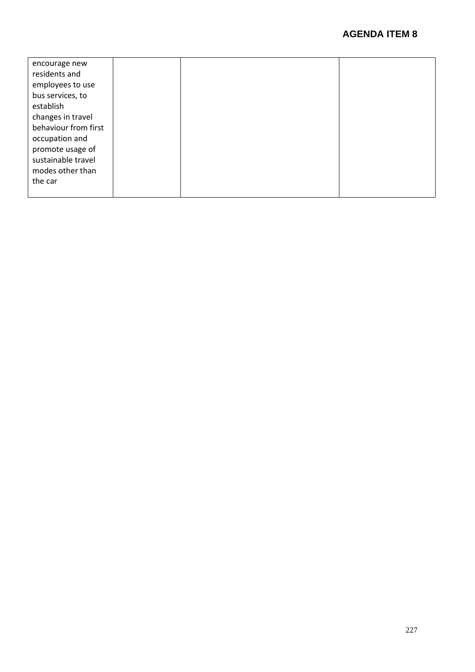| encourage new        |  |  |
|----------------------|--|--|
| residents and        |  |  |
| employees to use     |  |  |
| bus services, to     |  |  |
| establish            |  |  |
| changes in travel    |  |  |
| behaviour from first |  |  |
| occupation and       |  |  |
| promote usage of     |  |  |
| sustainable travel   |  |  |
| modes other than     |  |  |
| the car              |  |  |
|                      |  |  |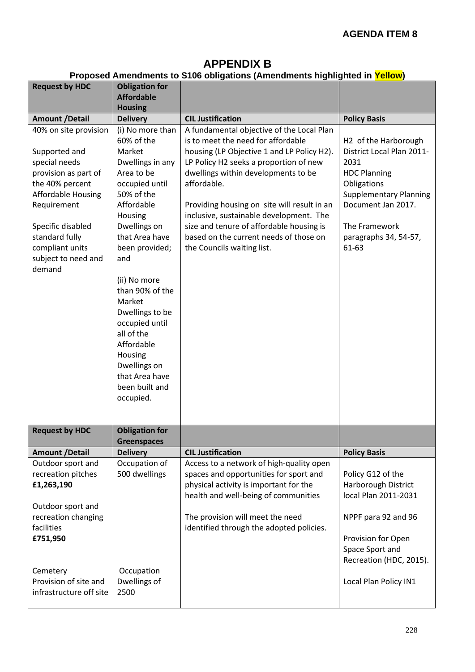## **APPENDIX B**

#### **Proposed Amendments to S106 obligations (Amendments highlighted in Yellow)**

| <b>Request by HDC</b>                                                                                                                                                                                                                     | <b>Obligation for</b>                                                                                                                                                                                                                                                                                                                                                                    | 1 Topooca Amonamonto to 6 Too opingutono (Amonamonto mgmignica in <mark>Tonom</mark>                                                                                                                                                                                                                                                                                                                                                        |                                                                                                                                                                                                                       |
|-------------------------------------------------------------------------------------------------------------------------------------------------------------------------------------------------------------------------------------------|------------------------------------------------------------------------------------------------------------------------------------------------------------------------------------------------------------------------------------------------------------------------------------------------------------------------------------------------------------------------------------------|---------------------------------------------------------------------------------------------------------------------------------------------------------------------------------------------------------------------------------------------------------------------------------------------------------------------------------------------------------------------------------------------------------------------------------------------|-----------------------------------------------------------------------------------------------------------------------------------------------------------------------------------------------------------------------|
|                                                                                                                                                                                                                                           | <b>Affordable</b>                                                                                                                                                                                                                                                                                                                                                                        |                                                                                                                                                                                                                                                                                                                                                                                                                                             |                                                                                                                                                                                                                       |
|                                                                                                                                                                                                                                           | <b>Housing</b>                                                                                                                                                                                                                                                                                                                                                                           |                                                                                                                                                                                                                                                                                                                                                                                                                                             |                                                                                                                                                                                                                       |
| <b>Amount /Detail</b>                                                                                                                                                                                                                     | <b>Delivery</b>                                                                                                                                                                                                                                                                                                                                                                          | <b>CIL Justification</b>                                                                                                                                                                                                                                                                                                                                                                                                                    | <b>Policy Basis</b>                                                                                                                                                                                                   |
| 40% on site provision<br>Supported and<br>special needs<br>provision as part of<br>the 40% percent<br><b>Affordable Housing</b><br>Requirement<br>Specific disabled<br>standard fully<br>compliant units<br>subject to need and<br>demand | (i) No more than<br>60% of the<br>Market<br>Dwellings in any<br>Area to be<br>occupied until<br>50% of the<br>Affordable<br>Housing<br>Dwellings on<br>that Area have<br>been provided;<br>and<br>(ii) No more<br>than 90% of the<br>Market<br>Dwellings to be<br>occupied until<br>all of the<br>Affordable<br>Housing<br>Dwellings on<br>that Area have<br>been built and<br>occupied. | A fundamental objective of the Local Plan<br>is to meet the need for affordable<br>housing (LP Objective 1 and LP Policy H2).<br>LP Policy H2 seeks a proportion of new<br>dwellings within developments to be<br>affordable.<br>Providing housing on site will result in an<br>inclusive, sustainable development. The<br>size and tenure of affordable housing is<br>based on the current needs of those on<br>the Councils waiting list. | H <sub>2</sub> of the Harborough<br>District Local Plan 2011-<br>2031<br><b>HDC Planning</b><br>Obligations<br><b>Supplementary Planning</b><br>Document Jan 2017.<br>The Framework<br>paragraphs 34, 54-57,<br>61-63 |
| <b>Request by HDC</b>                                                                                                                                                                                                                     | <b>Obligation for</b>                                                                                                                                                                                                                                                                                                                                                                    |                                                                                                                                                                                                                                                                                                                                                                                                                                             |                                                                                                                                                                                                                       |
| <b>Amount /Detail</b>                                                                                                                                                                                                                     | <b>Greenspaces</b><br><b>Delivery</b>                                                                                                                                                                                                                                                                                                                                                    | <b>CIL Justification</b>                                                                                                                                                                                                                                                                                                                                                                                                                    | <b>Policy Basis</b>                                                                                                                                                                                                   |
| Outdoor sport and                                                                                                                                                                                                                         | Occupation of                                                                                                                                                                                                                                                                                                                                                                            | Access to a network of high-quality open                                                                                                                                                                                                                                                                                                                                                                                                    |                                                                                                                                                                                                                       |
| recreation pitches<br>£1,263,190                                                                                                                                                                                                          | 500 dwellings                                                                                                                                                                                                                                                                                                                                                                            | spaces and opportunities for sport and<br>physical activity is important for the<br>health and well-being of communities                                                                                                                                                                                                                                                                                                                    | Policy G12 of the<br>Harborough District<br>local Plan 2011-2031                                                                                                                                                      |
| Outdoor sport and                                                                                                                                                                                                                         |                                                                                                                                                                                                                                                                                                                                                                                          |                                                                                                                                                                                                                                                                                                                                                                                                                                             |                                                                                                                                                                                                                       |
| recreation changing<br>facilities                                                                                                                                                                                                         |                                                                                                                                                                                                                                                                                                                                                                                          | The provision will meet the need<br>identified through the adopted policies.                                                                                                                                                                                                                                                                                                                                                                | NPPF para 92 and 96                                                                                                                                                                                                   |
| £751,950                                                                                                                                                                                                                                  |                                                                                                                                                                                                                                                                                                                                                                                          |                                                                                                                                                                                                                                                                                                                                                                                                                                             | Provision for Open                                                                                                                                                                                                    |
|                                                                                                                                                                                                                                           |                                                                                                                                                                                                                                                                                                                                                                                          |                                                                                                                                                                                                                                                                                                                                                                                                                                             | Space Sport and                                                                                                                                                                                                       |
|                                                                                                                                                                                                                                           |                                                                                                                                                                                                                                                                                                                                                                                          |                                                                                                                                                                                                                                                                                                                                                                                                                                             | Recreation (HDC, 2015).                                                                                                                                                                                               |
| Cemetery                                                                                                                                                                                                                                  | Occupation                                                                                                                                                                                                                                                                                                                                                                               |                                                                                                                                                                                                                                                                                                                                                                                                                                             |                                                                                                                                                                                                                       |
| Provision of site and<br>infrastructure off site                                                                                                                                                                                          | Dwellings of<br>2500                                                                                                                                                                                                                                                                                                                                                                     |                                                                                                                                                                                                                                                                                                                                                                                                                                             | Local Plan Policy IN1                                                                                                                                                                                                 |
|                                                                                                                                                                                                                                           |                                                                                                                                                                                                                                                                                                                                                                                          |                                                                                                                                                                                                                                                                                                                                                                                                                                             |                                                                                                                                                                                                                       |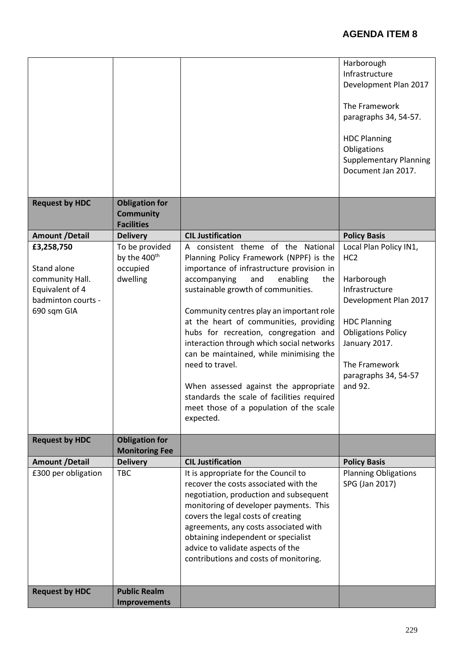|                       |                          |                                            | Harborough                    |
|-----------------------|--------------------------|--------------------------------------------|-------------------------------|
|                       |                          |                                            | Infrastructure                |
|                       |                          |                                            | Development Plan 2017         |
|                       |                          |                                            |                               |
|                       |                          |                                            | The Framework                 |
|                       |                          |                                            | paragraphs 34, 54-57.         |
|                       |                          |                                            |                               |
|                       |                          |                                            | <b>HDC Planning</b>           |
|                       |                          |                                            | Obligations                   |
|                       |                          |                                            | <b>Supplementary Planning</b> |
|                       |                          |                                            | Document Jan 2017.            |
|                       |                          |                                            |                               |
|                       |                          |                                            |                               |
| <b>Request by HDC</b> | <b>Obligation for</b>    |                                            |                               |
|                       |                          |                                            |                               |
|                       | <b>Community</b>         |                                            |                               |
|                       | <b>Facilities</b>        |                                            |                               |
| <b>Amount /Detail</b> | <b>Delivery</b>          | <b>CIL Justification</b>                   | <b>Policy Basis</b>           |
| £3,258,750            | To be provided           | A consistent theme of the National         | Local Plan Policy IN1,        |
|                       | by the 400 <sup>th</sup> | Planning Policy Framework (NPPF) is the    | HC <sub>2</sub>               |
| Stand alone           | occupied                 | importance of infrastructure provision in  |                               |
| community Hall.       | dwelling                 | accompanying<br>and<br>enabling<br>the     | Harborough                    |
| Equivalent of 4       |                          | sustainable growth of communities.         | Infrastructure                |
| badminton courts -    |                          |                                            | Development Plan 2017         |
| 690 sqm GIA           |                          | Community centres play an important role   |                               |
|                       |                          | at the heart of communities, providing     | <b>HDC Planning</b>           |
|                       |                          |                                            |                               |
|                       |                          | hubs for recreation, congregation and      | <b>Obligations Policy</b>     |
|                       |                          | interaction through which social networks  | January 2017.                 |
|                       |                          | can be maintained, while minimising the    |                               |
|                       |                          | need to travel.                            | The Framework                 |
|                       |                          |                                            | paragraphs 34, 54-57          |
|                       |                          | When assessed against the appropriate      | and 92.                       |
|                       |                          | standards the scale of facilities required |                               |
|                       |                          | meet those of a population of the scale    |                               |
|                       |                          | expected.                                  |                               |
|                       |                          |                                            |                               |
| <b>Request by HDC</b> | <b>Obligation for</b>    |                                            |                               |
|                       | <b>Monitoring Fee</b>    |                                            |                               |
| <b>Amount /Detail</b> | <b>Delivery</b>          | <b>CIL Justification</b>                   | <b>Policy Basis</b>           |
| £300 per obligation   | <b>TBC</b>               | It is appropriate for the Council to       | <b>Planning Obligations</b>   |
|                       |                          | recover the costs associated with the      | SPG (Jan 2017)                |
|                       |                          |                                            |                               |
|                       |                          | negotiation, production and subsequent     |                               |
|                       |                          | monitoring of developer payments. This     |                               |
|                       |                          | covers the legal costs of creating         |                               |
|                       |                          | agreements, any costs associated with      |                               |
|                       |                          | obtaining independent or specialist        |                               |
|                       |                          | advice to validate aspects of the          |                               |
|                       |                          | contributions and costs of monitoring.     |                               |
|                       |                          |                                            |                               |
|                       |                          |                                            |                               |
| <b>Request by HDC</b> | <b>Public Realm</b>      |                                            |                               |
|                       | <b>Improvements</b>      |                                            |                               |
|                       |                          |                                            |                               |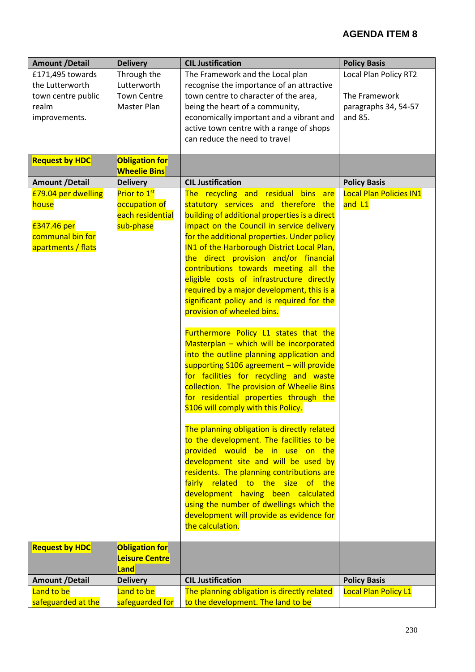| <b>Amount /Detail</b> | <b>Delivery</b>          | <b>CIL Justification</b>                      | <b>Policy Basis</b>          |
|-----------------------|--------------------------|-----------------------------------------------|------------------------------|
| £171,495 towards      | Through the              | The Framework and the Local plan              | <b>Local Plan Policy RT2</b> |
| the Lutterworth       | Lutterworth              | recognise the importance of an attractive     |                              |
| town centre public    | <b>Town Centre</b>       | town centre to character of the area,         | The Framework                |
| realm                 | Master Plan              | being the heart of a community,               | paragraphs 34, 54-57         |
| improvements.         |                          | economically important and a vibrant and      | and 85.                      |
|                       |                          | active town centre with a range of shops      |                              |
|                       |                          | can reduce the need to travel                 |                              |
|                       |                          |                                               |                              |
| <b>Request by HDC</b> | <b>Obligation for</b>    |                                               |                              |
|                       | <b>Wheelie Bins</b>      |                                               |                              |
| <b>Amount /Detail</b> | <b>Delivery</b>          | <b>CIL Justification</b>                      | <b>Policy Basis</b>          |
| £79.04 per dwelling   | Prior to 1 <sup>st</sup> | The recycling and residual bins are           | Local Plan Policies IN1      |
| house                 | occupation of            | statutory services and therefore the          | and L1                       |
|                       | each residential         | building of additional properties is a direct |                              |
| £347.46 per           | sub-phase                | impact on the Council in service delivery     |                              |
| communal bin for      |                          | for the additional properties. Under policy   |                              |
| apartments / flats    |                          | IN1 of the Harborough District Local Plan,    |                              |
|                       |                          | the direct provision and/or financial         |                              |
|                       |                          | contributions towards meeting all the         |                              |
|                       |                          | eligible costs of infrastructure directly     |                              |
|                       |                          | required by a major development, this is a    |                              |
|                       |                          | significant policy and is required for the    |                              |
|                       |                          | provision of wheeled bins.                    |                              |
|                       |                          | Furthermore Policy L1 states that the         |                              |
|                       |                          | Masterplan - which will be incorporated       |                              |
|                       |                          | into the outline planning application and     |                              |
|                       |                          | supporting S106 agreement - will provide      |                              |
|                       |                          | for facilities for recycling and waste        |                              |
|                       |                          | collection. The provision of Wheelie Bins     |                              |
|                       |                          | for residential properties through the        |                              |
|                       |                          | S106 will comply with this Policy.            |                              |
|                       |                          |                                               |                              |
|                       |                          | The planning obligation is directly related   |                              |
|                       |                          | to the development. The facilities to be      |                              |
|                       |                          | provided would be in use on the               |                              |
|                       |                          | development site and will be used by          |                              |
|                       |                          | residents. The planning contributions are     |                              |
|                       |                          | fairly related to the size of the             |                              |
|                       |                          | development having been calculated            |                              |
|                       |                          | using the number of dwellings which the       |                              |
|                       |                          | development will provide as evidence for      |                              |
|                       |                          | the calculation.                              |                              |
|                       |                          |                                               |                              |
| <b>Request by HDC</b> | <b>Obligation for</b>    |                                               |                              |
|                       | <b>Leisure Centre</b>    |                                               |                              |
|                       | Land                     |                                               |                              |
| <b>Amount /Detail</b> | <b>Delivery</b>          | <b>CIL Justification</b>                      | <b>Policy Basis</b>          |
| Land to be            | Land to be               | The planning obligation is directly related   | <b>Local Plan Policy L1</b>  |
| safeguarded at the    | safeguarded for          | to the development. The land to be            |                              |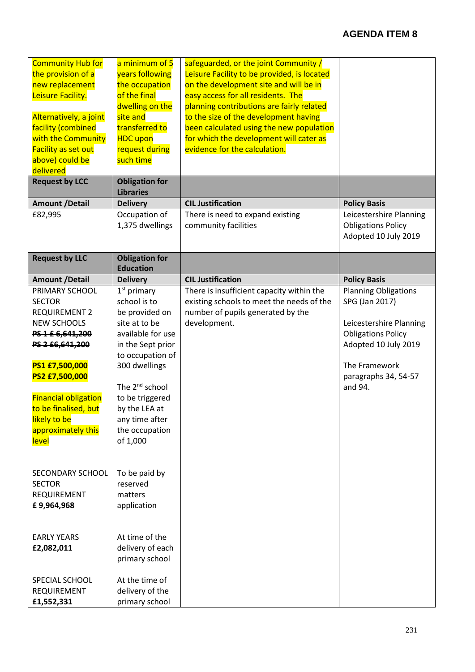| <b>Community Hub for</b><br>the provision of a<br>new replacement<br>Leisure Facility.<br>Alternatively, a joint<br>facility (combined<br>with the Community<br>Facility as set out<br>above) could be<br>delivered<br><b>Request by LCC</b>                   | a minimum of 5<br>years following<br>the occupation<br>of the final<br>dwelling on the<br>site and<br>transferred to<br><b>HDC</b> upon<br>request during<br>such time<br><b>Obligation for</b>                                                                   | safeguarded, or the joint Community /<br>Leisure Facility to be provided, is located<br>on the development site and will be in<br>easy access for all residents. The<br>planning contributions are fairly related<br>to the size of the development having<br>been calculated using the new population<br>for which the development will cater as<br>evidence for the calculation. |                                                                                                                                                                                   |
|----------------------------------------------------------------------------------------------------------------------------------------------------------------------------------------------------------------------------------------------------------------|-------------------------------------------------------------------------------------------------------------------------------------------------------------------------------------------------------------------------------------------------------------------|------------------------------------------------------------------------------------------------------------------------------------------------------------------------------------------------------------------------------------------------------------------------------------------------------------------------------------------------------------------------------------|-----------------------------------------------------------------------------------------------------------------------------------------------------------------------------------|
|                                                                                                                                                                                                                                                                | <b>Libraries</b>                                                                                                                                                                                                                                                  |                                                                                                                                                                                                                                                                                                                                                                                    |                                                                                                                                                                                   |
| <b>Amount /Detail</b>                                                                                                                                                                                                                                          | <b>Delivery</b>                                                                                                                                                                                                                                                   | <b>CIL Justification</b>                                                                                                                                                                                                                                                                                                                                                           | <b>Policy Basis</b>                                                                                                                                                               |
| £82,995                                                                                                                                                                                                                                                        | Occupation of<br>1,375 dwellings                                                                                                                                                                                                                                  | There is need to expand existing<br>community facilities                                                                                                                                                                                                                                                                                                                           | Leicestershire Planning<br><b>Obligations Policy</b><br>Adopted 10 July 2019                                                                                                      |
| <b>Request by LLC</b>                                                                                                                                                                                                                                          | <b>Obligation for</b><br><b>Education</b>                                                                                                                                                                                                                         |                                                                                                                                                                                                                                                                                                                                                                                    |                                                                                                                                                                                   |
| <b>Amount /Detail</b>                                                                                                                                                                                                                                          | <b>Delivery</b>                                                                                                                                                                                                                                                   | <b>CIL Justification</b>                                                                                                                                                                                                                                                                                                                                                           | <b>Policy Basis</b>                                                                                                                                                               |
| PRIMARY SCHOOL<br><b>SECTOR</b><br><b>REQUIREMENT 2</b><br><b>NEW SCHOOLS</b><br>PS 1 £ 6,641,200<br>PS 2 £6,641,200<br>PS1 £7,500,000<br>PS2 £7,500,000<br><b>Financial obligation</b><br>to be finalised, but<br>likely to be<br>approximately this<br>level | $1st$ primary<br>school is to<br>be provided on<br>site at to be<br>available for use<br>in the Sept prior<br>to occupation of<br>300 dwellings<br>The 2 <sup>nd</sup> school<br>to be triggered<br>by the LEA at<br>any time after<br>the occupation<br>of 1,000 | There is insufficient capacity within the<br>existing schools to meet the needs of the<br>number of pupils generated by the<br>development.                                                                                                                                                                                                                                        | <b>Planning Obligations</b><br>SPG (Jan 2017)<br>Leicestershire Planning<br><b>Obligations Policy</b><br>Adopted 10 July 2019<br>The Framework<br>paragraphs 34, 54-57<br>and 94. |
| SECONDARY SCHOOL<br><b>SECTOR</b><br>REQUIREMENT<br>£9,964,968<br><b>EARLY YEARS</b><br>£2,082,011                                                                                                                                                             | To be paid by<br>reserved<br>matters<br>application<br>At time of the<br>delivery of each<br>primary school                                                                                                                                                       |                                                                                                                                                                                                                                                                                                                                                                                    |                                                                                                                                                                                   |
| SPECIAL SCHOOL<br>REQUIREMENT<br>£1,552,331                                                                                                                                                                                                                    | At the time of<br>delivery of the<br>primary school                                                                                                                                                                                                               |                                                                                                                                                                                                                                                                                                                                                                                    |                                                                                                                                                                                   |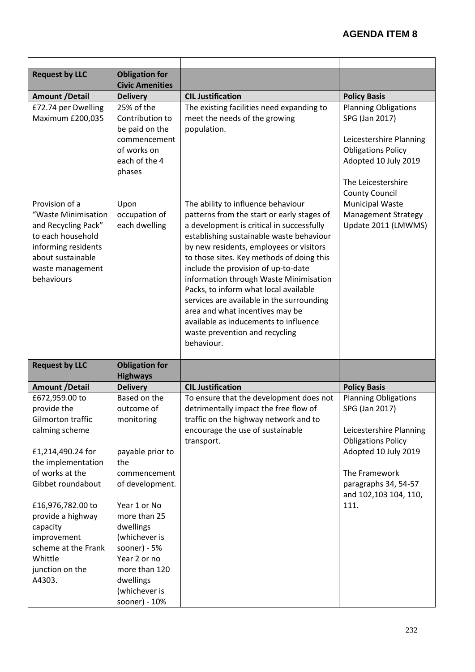| <b>Request by LLC</b>                                                                                                                                                                                                                               | <b>Obligation for</b><br><b>Civic Amenities</b>                                                                                                                                        |                                                                                                                                                                                                                                                                                                                                                                                                                                                                                                                                                                      |                                                                                                                                                                                                         |
|-----------------------------------------------------------------------------------------------------------------------------------------------------------------------------------------------------------------------------------------------------|----------------------------------------------------------------------------------------------------------------------------------------------------------------------------------------|----------------------------------------------------------------------------------------------------------------------------------------------------------------------------------------------------------------------------------------------------------------------------------------------------------------------------------------------------------------------------------------------------------------------------------------------------------------------------------------------------------------------------------------------------------------------|---------------------------------------------------------------------------------------------------------------------------------------------------------------------------------------------------------|
| <b>Amount /Detail</b>                                                                                                                                                                                                                               | <b>Delivery</b>                                                                                                                                                                        | <b>CIL Justification</b>                                                                                                                                                                                                                                                                                                                                                                                                                                                                                                                                             | <b>Policy Basis</b>                                                                                                                                                                                     |
| £72.74 per Dwelling<br>Maximum £200,035                                                                                                                                                                                                             | 25% of the<br>Contribution to<br>be paid on the<br>commencement<br>of works on<br>each of the 4<br>phases                                                                              | The existing facilities need expanding to<br>meet the needs of the growing<br>population.                                                                                                                                                                                                                                                                                                                                                                                                                                                                            | <b>Planning Obligations</b><br>SPG (Jan 2017)<br>Leicestershire Planning<br><b>Obligations Policy</b><br>Adopted 10 July 2019<br>The Leicestershire<br><b>County Council</b>                            |
| Provision of a<br>"Waste Minimisation<br>and Recycling Pack"<br>to each household<br>informing residents<br>about sustainable<br>waste management<br>behaviours                                                                                     | Upon<br>occupation of<br>each dwelling                                                                                                                                                 | The ability to influence behaviour<br>patterns from the start or early stages of<br>a development is critical in successfully<br>establishing sustainable waste behaviour<br>by new residents, employees or visitors<br>to those sites. Key methods of doing this<br>include the provision of up-to-date<br>information through Waste Minimisation<br>Packs, to inform what local available<br>services are available in the surrounding<br>area and what incentives may be<br>available as inducements to influence<br>waste prevention and recycling<br>behaviour. | <b>Municipal Waste</b><br><b>Management Strategy</b><br>Update 2011 (LMWMS)                                                                                                                             |
| <b>Request by LLC</b>                                                                                                                                                                                                                               | <b>Obligation for</b><br><b>Highways</b>                                                                                                                                               |                                                                                                                                                                                                                                                                                                                                                                                                                                                                                                                                                                      |                                                                                                                                                                                                         |
| <b>Amount /Detail</b>                                                                                                                                                                                                                               | <b>Delivery</b>                                                                                                                                                                        | <b>CIL Justification</b>                                                                                                                                                                                                                                                                                                                                                                                                                                                                                                                                             | <b>Policy Basis</b>                                                                                                                                                                                     |
| £672,959.00 to<br>provide the<br>Gilmorton traffic<br>calming scheme<br>£1,214,490.24 for<br>the implementation<br>of works at the<br>Gibbet roundabout<br>£16,976,782.00 to<br>provide a highway<br>capacity<br>improvement<br>scheme at the Frank | Based on the<br>outcome of<br>monitoring<br>payable prior to<br>the<br>commencement<br>of development.<br>Year 1 or No<br>more than 25<br>dwellings<br>(whichever is<br>sooner) - $5%$ | To ensure that the development does not<br>detrimentally impact the free flow of<br>traffic on the highway network and to<br>encourage the use of sustainable<br>transport.                                                                                                                                                                                                                                                                                                                                                                                          | <b>Planning Obligations</b><br>SPG (Jan 2017)<br>Leicestershire Planning<br><b>Obligations Policy</b><br>Adopted 10 July 2019<br>The Framework<br>paragraphs 34, 54-57<br>and 102,103 104, 110,<br>111. |
| Whittle<br>junction on the<br>A4303.                                                                                                                                                                                                                | Year 2 or no<br>more than 120<br>dwellings<br>(whichever is<br>sooner) - 10%                                                                                                           |                                                                                                                                                                                                                                                                                                                                                                                                                                                                                                                                                                      |                                                                                                                                                                                                         |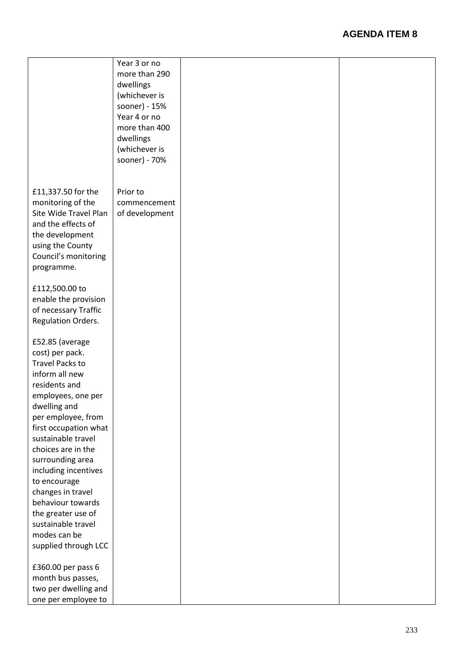|                        | Year 3 or no   |  |
|------------------------|----------------|--|
|                        | more than 290  |  |
|                        |                |  |
|                        | dwellings      |  |
|                        | (whichever is  |  |
|                        | sooner) - 15%  |  |
|                        | Year 4 or no   |  |
|                        | more than 400  |  |
|                        | dwellings      |  |
|                        | (whichever is  |  |
|                        | sooner) - 70%  |  |
|                        |                |  |
|                        |                |  |
| £11,337.50 for the     | Prior to       |  |
| monitoring of the      | commencement   |  |
| Site Wide Travel Plan  | of development |  |
| and the effects of     |                |  |
| the development        |                |  |
| using the County       |                |  |
| Council's monitoring   |                |  |
|                        |                |  |
| programme.             |                |  |
| £112,500.00 to         |                |  |
| enable the provision   |                |  |
|                        |                |  |
| of necessary Traffic   |                |  |
| Regulation Orders.     |                |  |
|                        |                |  |
| £52.85 (average        |                |  |
| cost) per pack.        |                |  |
| <b>Travel Packs to</b> |                |  |
| inform all new         |                |  |
| residents and          |                |  |
| employees, one per     |                |  |
| dwelling and           |                |  |
| per employee, from     |                |  |
| first occupation what  |                |  |
| sustainable travel     |                |  |
| choices are in the     |                |  |
| surrounding area       |                |  |
| including incentives   |                |  |
| to encourage           |                |  |
| changes in travel      |                |  |
| behaviour towards      |                |  |
| the greater use of     |                |  |
| sustainable travel     |                |  |
| modes can be           |                |  |
| supplied through LCC   |                |  |
|                        |                |  |
| £360.00 per pass 6     |                |  |
| month bus passes,      |                |  |
| two per dwelling and   |                |  |
| one per employee to    |                |  |